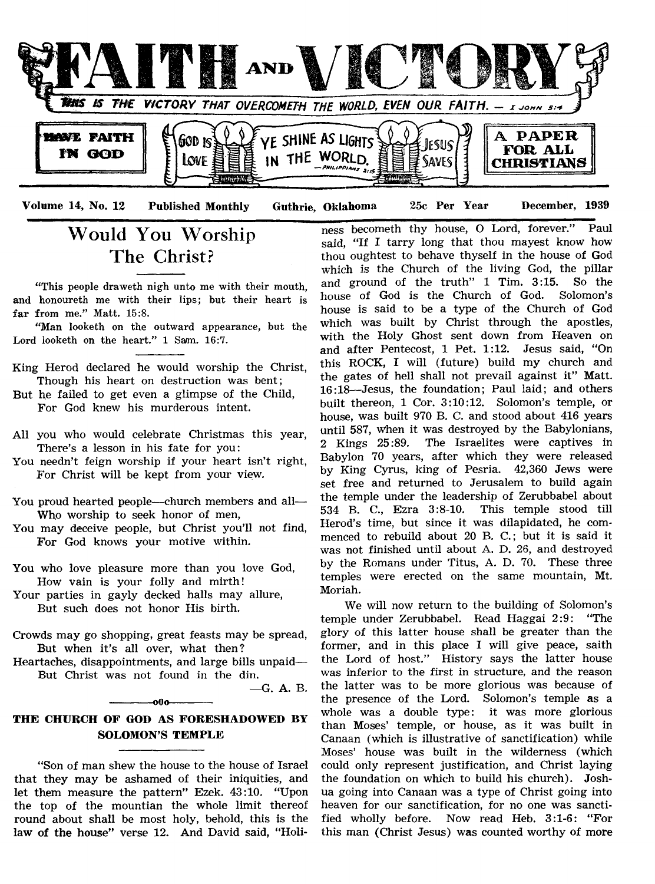

Would You Worship The Christ?

"This people draweth nigh unto me with their mouth, and honoureth me with their lips; but their heart is far from me." Matt.  $15:8$ .

"Man looketh on the outward appearance, but the Lord looketh on the heart." 1 Sam. 16:7.

- King Herod declared he would worship the Christ, Though his heart on destruction was bent;
- But he failed to get even a glimpse of the Child, For God knew his murderous intent.
- All you who would celebrate Christmas this year, There's a lesson in his fate for you:
- You needn't feign worship if your heart isn't right, For Christ will be kept from your view.
- You proud hearted people— church members and all— Who worship to seek honor of men,
- You may deceive people, but Christ you'll not find, For God knows your motive within.
- You who love pleasure more than you love God, How vain is your folly and mirth!
- Your parties in gayly decked halls may allure, But such does not honor His birth.
- Crowds may go shopping, great feasts may be spread, But when it's all over, what then?
- Heartaches, disappointments, and large bills unpaid— But Christ was not found in the din.

— G. A. B.

### **THE CHURCH OF GOD AS FORESHADOWED BY SOLOMON'S TEMPLE**

 $-000-$ 

"Son of man shew the house to the house of Israel that they may be ashamed of their iniquities, and let them measure the pattern" Ezek. 43:10. "Upon the top of the mountian the whole limit thereof round about shall be most holy, behold, this is the law of the house" verse 12. And David said, "Holi-

ness becometh thy house, O Lord, forever." Paul said, "If I tarry long that thou mayest know how thou oughtest to behave thyself in the house of God which is the Church of the living God, the pillar<br>and ground of the truth"  $1$  Tim.  $3:15$ . So the and ground of the truth"  $1$  Tim.  $3:15$ . house of God is the Church of God. Solomon's house is said to be a type of the Church of God which was built by Christ through the apostles, with the Holy Ghost sent down from Heaven on and after Pentecost, 1 Pet. 1:12. Jesus said, "On this ROCK, I will (future) build my church and the gates of hell shall not prevail against it" Matt. 16:18—Jesus, the foundation; Paul laid; and others built thereon, 1 Cor. 3:10:12. Solomon's temple, or house, was built 970 B. C. and stood about 416 years until 587, When it was destroyed by the Babylonians, 2 Kings 25:89. The Israelites were captives in Babylon 70 years, after which they were released by King Cyrus, king of Pesria. 42,360 Jews were set free and returned to Jerusalem to build again the temple under the leadership of Zerubbabel about 534 B. C., Ezra 3:8-10. This temple stood till Herod's time, but since it was dilapidated, he commenced to rebuild about 20 B. C.; but it is said it was not finished until about A. D. 26, and destroyed by the Romans under Titus, A. D. 70. These three temples were erected on the same mountain, Mt. Moriah.

We will now return to the building of Solomon's temple under Zerubbabel. Read Haggai 2:9: "The glory of this latter house shall be greater than the former, and in this place I will give peace, saith the Lord of host." History says the latter house was inferior to the first in structure, and the reason the latter was to be more glorious was because of the presence of the Lord. Solomon's temple as a whole was a double type: it was more glorious than Moses' temple, or house, as it was built in Canaan (which is illustrative of sanctification) while Moses' house was built in the wilderness (which could only represent justification, and Christ laying the foundation on which to build his church). Joshua going into Canaan was a type of Christ going into heaven for our sanctification, for no one was sanctified wholly before. Now read Heb. 3:1-6: "For this man (Christ Jesus) was counted worthy of more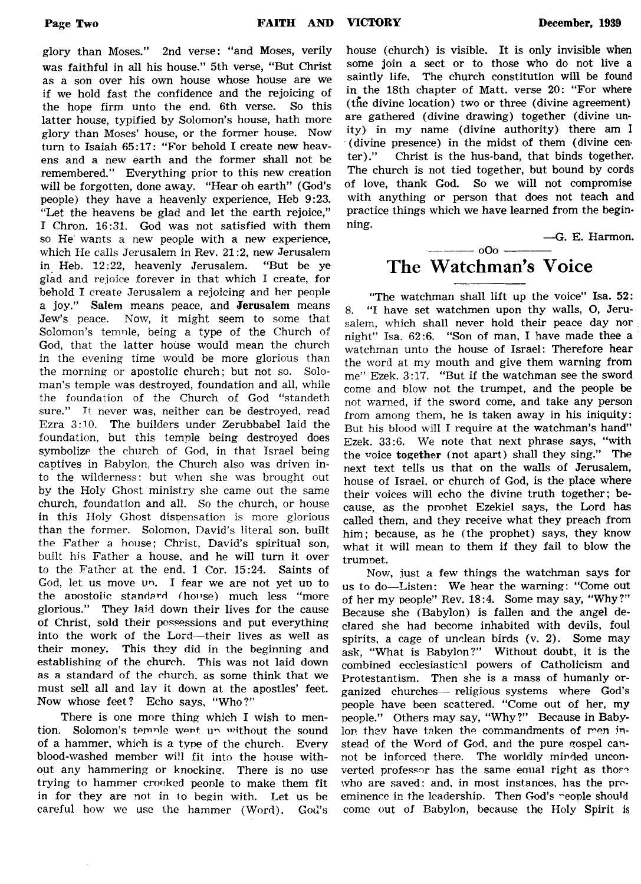glory than Moses." 2nd verse: " and Moses, verily was faithful in all his house." 5th verse, "But Christ as a son over his own house whose house are we if we hold fast the confidence and the rejoicing of the hope firm unto the end. 6th verse. So this latter house, typified by Solomon's house, hath more glory than Moses' house, or the former house. Now turn to Isaiah 65:17: "For behold I create new heavens and a new earth and the former shall not be remembered." Everything prior to this new creation will be forgotten, done away. "Hear oh earth" (God's people) they have a heavenly experience, Heb 9:23. "Let the heavens be glad and let the earth rejoice," I Chron. 16:31. God was not satisfied with them so He' wants a new people with a new experience, which He calls Jerusalem in Rev. 21:2, new Jerusalem in Heb. 12:22, heavenly Jerusalem. "But be ye glad and rejoice forever in that which I create, for behold I create Jerusalem a rejoicing and her people a joy." Salem means peace, and Jerusalem means Jew's peace. Now, it might seem to some that Solomon's temnle, being a type of the Church of God, that the latter house would mean the church in the evening time would be more glorious than the morning or apostolic church; but not so. Soloman's temple was destroyed, foundation and all, while the foundation of the Church of God "standeth sure." It never was, neither can be destroyed, read Ezra 3:10. The builders under Zerubbabel laid the foundation, but this temple being destroyed does symbolize the church of God, in that Israel being captives in Babylon, the Church also was driven into the wilderness: but when she was brought out by the Holy Ghost ministry she came out the same church, foundation and all. So the church, or house in this Holy Ghost dispensation is more glorious than the former. Solomon, David's literal son. built the Father a house; Christ, David's spiritual son, built his Father a house, and he will turn it over to the Father at the end, 1 Cor. 15:24. Saints of God, let us move un. I fear we are not yet up to the anostolic standard (house) much less "more glorious." They laid down their lives for the cause of Christ, sold their possessions and put everything into the work of the Lord— their lives as well as their money. This they did in the beginning and establishing of the church. This was not laid down as a standard of the church, as some think that we must sell all and lav it down at the apostles' feet. Now whose feet? Echo says, "Who?"

There is one more thing which I wish to mention. Solomon's temple went up without the sound of a hammer, which is a type of the church. Every blood-washed member will fit into the house without any hammering or knocking. There is no use trying to hammer crooked people to make them fit in for they are not in to begin with. Let us be careful how we use the hammer (Word). God's

house (church) is visible. It is only invisible when some join a sect or to those who do not live a saintly life. The church constitution will be found in the 18th chapter of Matt, verse 20: "For where (the divine location) two or three (divine agreement) are gathered (divine drawing) together (divine unity) in my name (divine authority) there am I (divine presence) in the midst of them (divine cen ter)." Christ is the hus-band, that binds together. The church is not tied together, but bound by cords of love, thank God. So we will not compromise with anything or person that does not teach and practice things which we have learned from the beginning.

—G. E. Harmon.

## $\frac{1}{2}$  oOo  $\frac{1}{2}$ The Watchman's Voice

"The watchman shall lift up the voice" Isa. 52: 8. "I have set watchmen upon thy walls, O, Jerusalem, which shall never hold their peace day nor night" Isa. 62:6. "Son of man, I have made thee a watchman unto the house of Israel: Therefore hear the word at my mouth and give them warning from me" Ezek. 3:17. "But if the watchman see the sword come and blow not the trumpet, and the people be not warned, if the sword come, and take any person from among them, he is taken away in his iniquity: But his blood will I require at the watchman's hand" Ezek. 33:6. We note that next phrase says, "with the voice together (not apart) shall they sing." The next text tells us that on the walls of Jerusalem, house of Israel, or church of God, is the place where their voices will echo the divine truth together; because, as the prophet Ezekiel says, the Lord has called them, and they receive what they preach from him; because, as he (the prophet) says, they know what it will mean to them if they fail to blow the trumpet.

Now, just a few things the watchman says for us to do-Listen: We hear the warning: "Come out of her my people" Rev. 18:4. Some may say, "Why?" Because she (Babylon) is fallen and the angel declared she had become inhabited with devils, foul spirits, a cage of unclean birds (v. 2). Some may ask, "What is Babylon?" Without doubt, it is the combined ecclesiastical powers of Catholicism and Protestantism. Then she is a mass of humanly organized churches— religious systems where God's people have been scattered. "Come out of her, my people." Others may say, "Why?" Because in Babylon they have taken the commandments of men instead of the Word of God, and the pure gospel cannot be inforced there. The worldly minded unconverted professor has the same equal right as those who are saved: and, in most instances, has the preeminence in the leadership. Then God's "eople should come out of Babylon, because the Holy Spirit is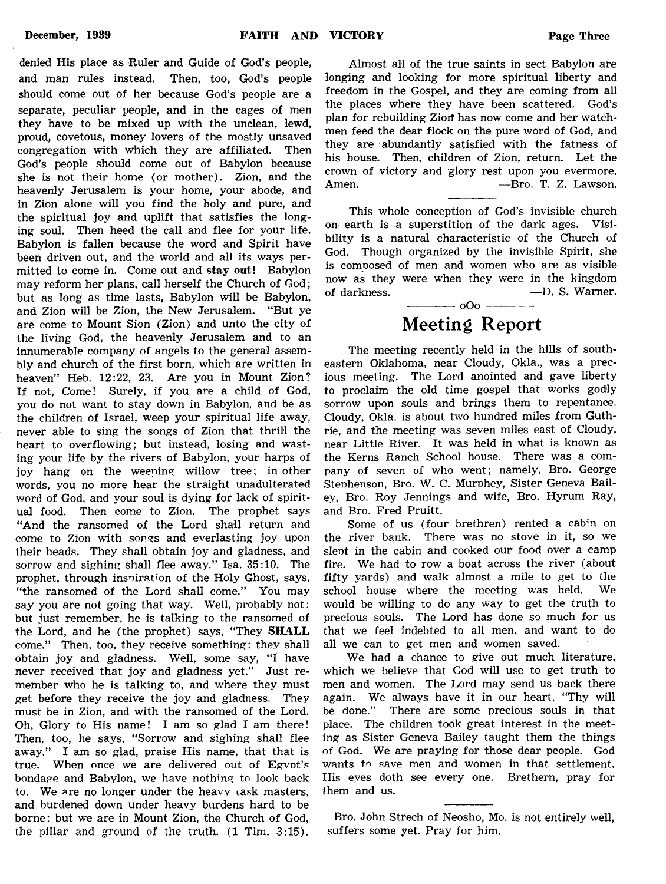denied His place as Ruler and Guide of God's people, and man rules instead. Then, too, God's people should come out of her because God's people are a separate, peculiar people, and in the cages of men they have to be mixed up with the unclean, lewd, proud, covetous, money lovers of the mostly unsaved congregation with which they are affiliated. Then God's people should come out of Babylon because she is not their home (or mother). Zion, and the heavenly Jerusalem is your home, your abode, and in Zion alone will you find the holy and pure, and the spiritual joy and uplift that satisfies the longing soul. Then heed the call and flee for your life. Babylon is fallen because the word and Spirit have been driven out, and the world and all its ways permitted to come in. Come out and stay out! Babylon may reform her plans, call herself the Church of God; but as long as time lasts, Babylon will be Babylon, and Zion will be Zion, the New Jerusalem. "But ye are come to Mount Sion (Zion) and unto the city of the living God, the heavenly Jerusalem and to an innumerable company of angels to the general assembly and church of the first born, which are written in heaven" Heb. 12:22, 23. Are you in Mount Zion? If not, Come! Surely, if you are a child of God, you do not want to stay down in Babylon, and be as the children of Israel, weep your spiritual life away, never able to sing the songs of Zion that thrill the heart to overflowing; but instead, losing and wasting your life by the rivers of Babylon, your harps of joy hang on the weening willow tree; in other words, you no more hear the straight unadulterated word of God, and your soul is dying for lack of spiritual food. Then come to Zion. The prophet says "And the ransomed of the Lord shall return and come to Zion with songs and everlasting joy upon their heads. They shall obtain joy and gladness, and sorrow and sighing shall flee away." Isa. 35:10. The prophet, through inspiration of the Holy Ghost, says, "the ransomed of the Lord shall come." You may say you are not going that way. Well, probably not: but just remember, he is talking to the ransomed of the Lord, and he (the prophet) says, "They SHALL come." Then, too, they receive something: they shall obtain joy and gladness. Well, some say, "I have never received that joy and gladness yet." Just remember who he is talking to, and where they must get before they receive the joy and gladness. They must be in Zion, and with the ransomed of the Lord. Oh, Glory to His name! I am so glad I am there! Then, too, he says, "Sorrow and sighing shall flee away." I am so glad, praise His name, that that is true. When once we are delivered out of Egypt's bondage and Babylon, we have nothing to look back to. We are no longer under the heavy task masters, and burdened down under heavy burdens hard to be borne: but we are in Mount Zion, the Church of God,

the pillar and ground of the truth. (1 Tim. 3:15).

Almost all of the true saints in sect Babylon are longing and looking for more spiritual liberty and freedom in the Gospel, and they are coming from all the places where they have been scattered. God's plan for rebuilding Zion has now come and her watchmen feed the dear flock on the pure word of God, and they are abundantly satisfied with the fatness of his house. Then, children of Zion, return. Let the crown of victory and glory rest upon you evermore. Amen. – **Amen.** – Bro. T. Z. Lawson.

This whole conception of God's invisible church on earth is a superstition of the dark ages. Visibility is a natural characteristic of the Church of God. Though organized by the invisible Spirit, she is composed of men and women who are as visible now as they were when they were in the kingdom of darkness. —D. S. Warner.  $-000$   $-$ 

## Meeting Report

The meeting recently held in the hills of southeastern Oklahoma, near Cloudy, Okla., was a precious meeting. The Lord anointed and gave liberty to proclaim the old time gospel that works godly sorrow upon souls and brings them to repentance. Cloudy, Okla. is about two hundred miles from Guthrie, and the meeting was seven miles east of Cloudy, near Little River. It was held in what is known as the Kerns Ranch School house. There was a company of seven of who went; namely, Bro. George Stephenson, Bro. W. C. Murphey, Sister Geneva Bailey, Bro. Roy Jennings and wife, Bro. Hyrum Ray, and Bro. Fred Pruitt.

Some of us (four brethren) rented a cabin on the river bank. There was no stove in it, so we slept in the cabin and cooked our food over a camp fire. We had to row a boat across the river (about fifty yards) and walk almost a mile to get to the school house where the meeting was held. We would be willing to do any way to get the truth to precious souls. The Lord has done so much for us that we feel indebted to all men, and want to do all we can to get men and women saved.

We had a chance to give out much literature, which we believe that God will use to get truth to men and women. The Lord may send us back there again. We always have it in our heart, "Thy will be done." There are some precious souls in that place. The children took great interest in the meeting as Sister Geneva Bailey taught them the things of God. We are praying for those dear people. God wants to save men and women in that settlement. His eyes doth see every one. Brethern, pray for them and us.

Bro. John Strech of Neosho, Mo. is not entirely well, suffers some yet. Pray for him.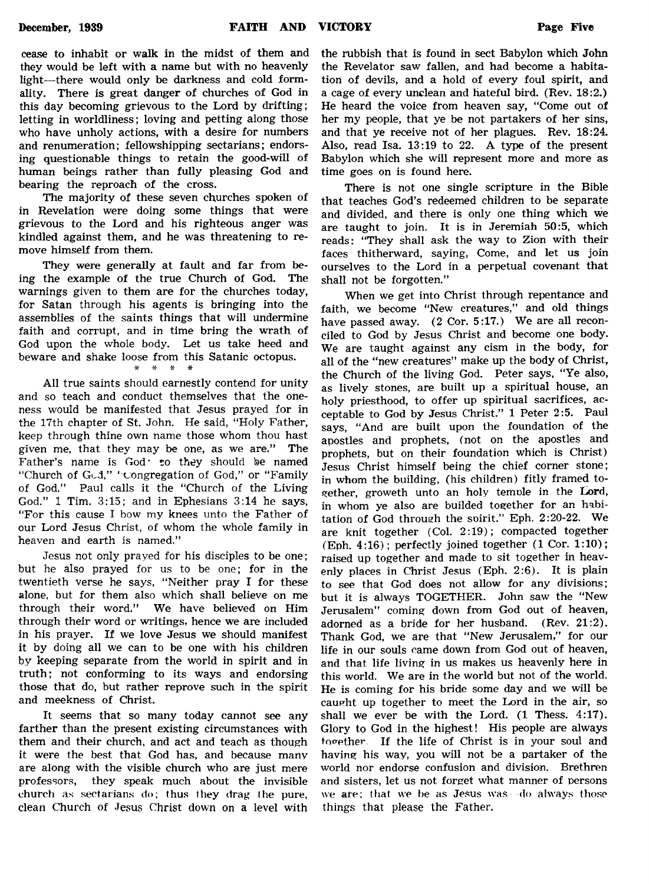cease to inhabit or walk in the midst of them and they would be left with a name but with no heavenly light—there would only be darkness and cold formality. There is great danger of churches of God in this day becoming grievous to the Lord by drifting; letting in worldliness; loving and petting along those who have unholy actions, with a desire for numbers and renumeration; fellowshipping sectarians; endorsing questionable things to retain the good-will of human beings rather than fully pleasing God and bearing the reproach of the cross.

The majority of these seven churches spoken of in Revelation were doing some things that were grievous to the Lord and his righteous anger was kindled against them, and he was threatening to remove himself from them.

They were generally at fault and far from being the example of the true Church of God. The warnings given to them are for the churches today, for Satan through his agents is bringing into the assemblies of the saints things that will undermine faith and corrupt, and in time bring the wrath of God upon the whole body. Let us take heed and beware and shake loose from this Satanic octopus.  $\cdot$  \*

All true saints should earnestly contend for unity and so teach and conduct themselves that the oneness would be manifested that Jesus prayed for in the 17th chapter of St. John. He said, "Holy Father, keep through thine own name those whom thou hast given me, that they may be one, as we are." The Father's name is God· to they should be named "Church of God," "congregation of God," or "Family of God." Paul calls it the "Church of the Living God." 1 Tim. 3:15; and in Ephesians 3:14 he says, "For this cause I bow my knees unto the Father of our Lord Jesus Christ, of whom the whole family in heaven and earth is named."

Jesus not only prayed for his disciples to be one; but he also prayed for us to be one; for in the twentieth verse he says, "Neither pray I for these alone, but for them also which shall believe on me through their word." We have believed on Him through their word or writings, hence we are included in his prayer. If we love Jesus we should manifest it by doing all we can to be one with his children by keeping separate from the world in spirit and in truth; not conforming to its ways and endorsing those that do, but rather reprove such in the spirit and meekness of Christ.

It seems that so many today cannot see any farther than the present existing circumstances with them and their church, and act and teach as though it were the best that God has, and because many are along with the visible church who are just mere professors, they speak much about the invisible church as sectarians do; thus they drag the pure, clean Church of Jesus Christ down on a level with

the rubbish that is found in sect Babylon which John the Revelator saw fallen, and had become a habitation of devils, and a hold of every foul spirit, and a cage of every unclean and hateful bird. (Rev. 18:2.) He heard the voice from heaven say, "Come out of her my people, that ye be not partakers of her sins, and that ye receive not of her plagues. Rev. 18:24. Also, read Isa. 13:19 to 22. A type of the present Babylon which she will represent more and more as time goes on is found here.

There is not one single scripture in the Bible that teaches God's redeemed children to be separate and divided, and there is only one thing which we are taught to join. It is in Jeremiah 50:5, which reads: "They shall ask the way to Zion with their faces thitherward, saying, Come, and let us join ourselves to the Lord in a perpetual covenant that shall not be forgotten."

When we get into Christ through repentance and faith, we become "New creatures," and old things have passed away. (2 Cor. 5:17.) We are all reconciled to God by Jesus Christ and become one body. We are taught against any cism in the body, for all of the "new creatures" make up the body of Christ, the Church of the living God. Peter says, "Ye also, as lively stones, are built up a spiritual house, an holy priesthood, to offer up spiritual sacrifices, acceptable to God by Jesus Christ." 1 Peter 2:5. Paul says, " And are built upon the foundation of the apostles and prophets, (not on the apostles and prophets, but on their foundation which is Christ) Jesus Christ himself being the chief corner stone; in whom the building, (his children) fitly framed together, groweth unto an holy temole in the Lord, in whom ye also are builded together for an habitation of God through the spirit." Eph. 2:20-22. We are knit together (Col. 2:19); compacted together (Eph. 4:16); perfectly joined together (1 Cor. 1:10); raised up together and made to sit together in heavenly places in Christ Jesus (Eph. 2:6). It is plain to see that God does not allow for any divisions; but it is always TOGETHER. John saw the "New Jerusalem" coming down from God out of heaven, adorned as a bride for her husband. (Rev. 21:2). Thank God, we are that "New Jerusalem," for our life in our souls came down from God out of heaven, and that life living in us makes us heavenly here in this world. We are in the world but not of the world. He is coming for his bride some day and we will be caught up together to meet the Lord in the air, so shall we ever be with the Lord. (1 Thess. 4:17). Glory to God in the highest! His people are always together. If the life of Christ is in your soul and having his way, you will not be a partaker of the world nor endorse confusion and division. Brethren and sisters, let us not forget what manner of persons we are: that we be as Jesus was do always those things that please the Father.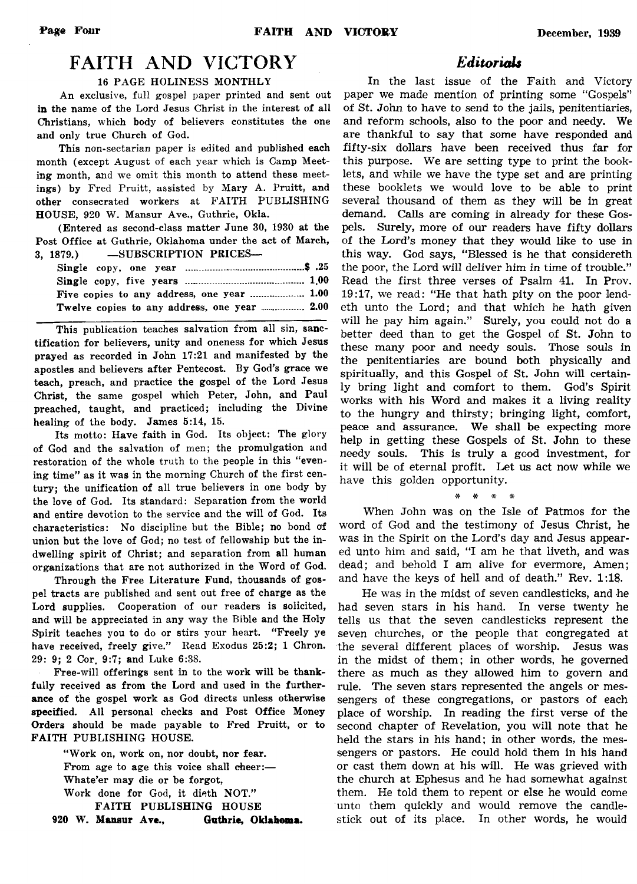## FAITH AND VICTORY

#### 16 PAGE HOLINESS MONTHLY

An exclusive, full gospel paper printed and sent out in the name of the Lord Jesus Christ in the interest of all Christians, which body of believers constitutes the one and only true Church of God.

This non-sectarian paper is edited and published each month (except August of each year which is Camp Meeting month, and we omit this month to attend these meetings) by Fred Pruitt, assisted by Mary A. Pruitt, and other consecrated workers at FAITH PUBLISHING HOUSE, 920 W. Mansur Ave., Guthrie, Okla.

(Entered as second-class matter June 30, 1930 at the Post Office at Guthrie, Oklahoma under the act of March, 3, 1879.) —SUBSCRIPTION PRICES—

| . |  |                                              |  |
|---|--|----------------------------------------------|--|
|   |  |                                              |  |
|   |  |                                              |  |
|   |  | Five copies to any address, one year  1.00   |  |
|   |  | Twelve copies to any address, one year  2.00 |  |

This publication teaches salvation from all sin, sanctification for believers, unity and oneness for which Jesus prayed as recorded in John 17:21 and manifested by the apostles and believers after Pentecost. By God's grace we teach, preach, and practice the gospel of the Lord Jesus Christ, the same gospel which Peter, John, and Paul preached, taught, and practiced; including the Divine healing of the body. James 5:14, 15.

Its motto: Have faith in God. Its object: The glory of God and the salvation of men; the promulgation and restoration of the whole truth to the people in this "evening time" as it was in the morning Church of the first century; the unification of all true believers in one body by the love of God. Its standard: Separation from the world and entire devotion to the service and the will of God. Its characteristics: No discipline but the Bible; no bond o'f union but the love of God; no test of fellowship but the indwelling spirit of Christ; and separation from all human organizations that are not authorized in the Word of God.

Through the Free Literature Fund, thousands of gospel tracts are published and sent out free of charge as the Lord supplies. Cooperation of our readers is solicited, and will be appreciated in any way the Bible and the Holy Spirit teaches you to do or stirs your heart. "Freely ye have received, freely give." Read Exodus 25:2; 1 Chron. 29: 9; 2 Cor. 9:7; and Luke 6:38.

Free-will offerings sent in to the work will be thankfully received as from the Lord and used in the furtherance of the gospel work as God directs unless otherwise specified. All personal checks and Post Office Money Orders should be made payable to Fred Pruitt, or to FAITH PUBLISHING HOUSE.

" Work on, work on, nor doubt, nor fear. From age to age this voice shall cheer:— Whate'er may die or be forgot, Work done for God, it dieth NOT." FAITH PUBLISHING HOUSE **920** W. **Mansur Ave., Guthrie, Oklahoma.**

#### *Editorials*

In the last issue of the Faith and Victory paper we made mention of printing some "Gospels" of St. John to have to send to the jails, penitentiaries, and reform schools, also to the poor and needy. We are thankful to say that some have responded and fifty-six dollars have been received thus far for this purpose. We are setting type to print the booklets, and while we have the type set and are printing these booklets we would love to be able to print several thousand of them as they will be in great demand. Calls are coming in already for these Gospels. Surely, more of our readers have fifty dollars of the Lord's money that they would like to use in this way. God says, "Blessed is he that considereth the poor, the Lord will deliver him in time of trouble." Read the first three verses of Psalm 41. In Prov. 19:17, we read: "He that hath pity on the poor lendeth unto the Lord; and that which he hath given will he pay him again." Surely, you could not do a better deed than to get the Gospel of St. John to these many poor and needy souls. Those souls in the penitentiaries are bound both physically and spiritually, and this Gospel of St. John will certainly bring light and comfort to them. God's Spirit works with his Word and makes it a living reality to the hungry and thirsty; bringing light, comfort, peace and assurance. We shall be expecting more help in getting these Gospels of St. John to these needy souls. This is truly a good investment, for it will be of eternal profit. Let us act now while we have this golden opportunity.

When John was on the Isle of Patmos for the word of God and the testimony of Jesus Christ, he was in the Spirit on the Lord's day and Jesus appeared unto him and said, "I am he that liveth, and was dead; and behold I am alive for evermore, Amen; and have the keys of hell and of death." Rev. 1:18.

\* \* \* \*

He was in the midst of seven candlesticks, and he had seven stars in his hand. In verse twenty he tells us that the seven candlesticks represent the seven churches, or the people that congregated at the several different places of worship. Jesus was in the midst of them; in other words, he governed there as much as they allowed him to govern and rule. The seven stars represented the angels or messengers of these congregations, or pastors of each place of worship. In reading the first verse of the second chapter of Revelation, you will note that he held the stars in his hand; in other words, the messengers or pastors. He could hold them in his hand or cast them down at his will. He was grieved with the church at Ephesus and he had somewhat against them. He told them to repent or else he would come unto them quickly and would remove the candlestick out of its place. In other words, he would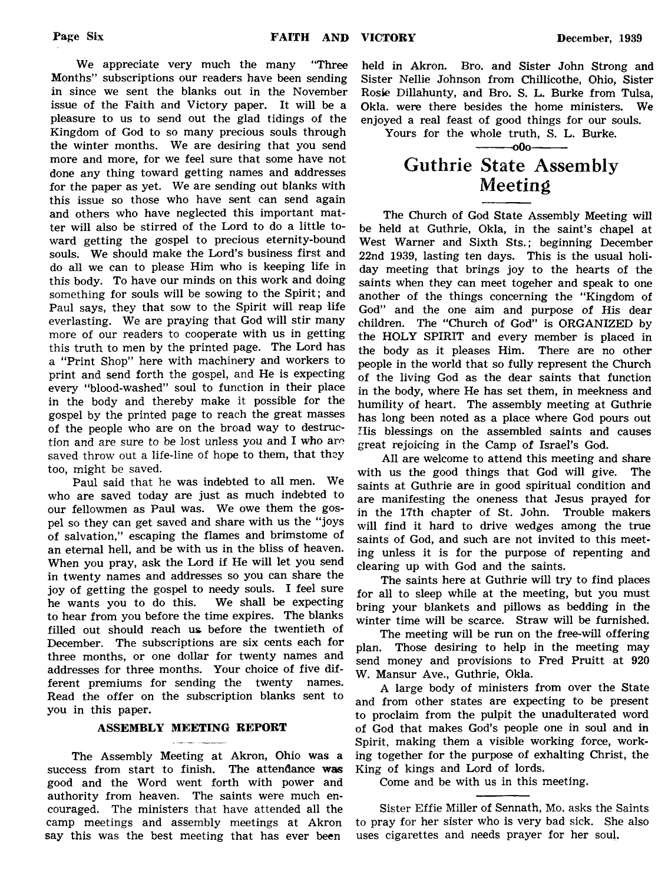We appreciate very much the many "Three Months" subscriptions our readers have been sending in since we sent the blanks out in the November issue of the Faith and Victory paper. It will be a pleasure to us to send out the glad tidings of the Kingdom of God to so many precious souls through the winter months. We are desiring that you send more and more, for we feel sure that some have not done any thing toward getting names and addresses for the paper as yet. We are sending out blanks with this issue so those who have sent can send again and others who have neglected this important matter will also be stirred of the Lord to do a little toward getting the gospel to precious eternity-bound souls. We should make the Lord's business first and do all we can to please Him who is keeping life in this body. To have our minds on this work and doing something for souls will be sowing to the Spirit; and Paul says, they that sow to the Spirit will reap life everlasting. We are praying that God will stir many more of our readers to cooperate with us in getting this truth to men by the printed page. The Lord has a "Print Shop" here with machinery and workers to print and send forth the gospel, and He is expecting every "blood-washed" soul to function in their place in the body and thereby make it possible for the gospel by the printed page to reach the great masses of the people who are on the broad way to destruction and are sure to be lost unless you and I who are saved throw out a life-line of hope to them, that they too, might be saved.

Paul said that he was indebted to all men. We who are saved today are just as much indebted to our fellowmen as Paul was. We owe them the gospel so they can get saved and share with us the " joys of salvation," escaping the flames and brimstome of an eternal hell, and be with us in the bliss of heaven. When you pray, ask the Lord if He will let you send in twenty names and addresses so you can share the joy of getting the gospel to needy souls. I feel sure he wants you to do this. We shall be expecting to hear from you before the time expires. The blanks filled out should reach us. before the twentieth of December. The subscriptions are six cents each for three months, or one dollar for twenty names and addresses for three months. Your choice of five different premiums for sending the twenty names. Read the offer on the subscription blanks sent to you in this paper.

#### ASSEMBLY MEETING REPORT

The Assembly Meeting at Akron, Ohio was a success from start to finish. The attendance was good and the Word went forth with power and authority from heaven. The saints were much encouraged. The ministers that have attended all the camp meetings and assembly meetings at Akron say this was the best meeting that has ever been

held in Akron. Bro. and Sister John Strong and Sister Nellie Johnson from Chillicothe, Ohio, Sister Rosie Dillahunty, and Bro. S. L. Burke from Tulsa, Okla. were there besides the home ministers. We enjoyed a real feast of good things for our souls.

Yours for the whole truth, S. L. Burke.

#### ----------0O0----------

## Guthrie State Assembly Meeting

The Church of God State Assembly Meeting will be held at Guthrie, Okla, in the saint's chapel at West Warner and Sixth Sts.; beginning December 22nd 1939, lasting ten days. This is the usual holiday meeting that brings joy to the hearts of the saints when they can meet togeher and speak to one another of the things concerning the "Kingdom of God" and the one aim and purpose of His dear children. The "Church of God" is ORGANIZED by the HOLY SPIRIT and every member is placed in the body as it pleases Him. There are no other people in the world that so fully represent the Church of the living God as the dear saints that function in the body, where He has set them, in meekness and humility of heart. The assembly meeting at Guthrie has long been noted as a place where God pours out His blessings on the assembled saints and causes great rejoicing in the Camp of Israel's God.

All are welcome to attend this meeting and share with us the good things that God will give. The saints at Guthrie are in good spiritual condition and are manifesting the oneness that Jesus prayed for in the 17th chapter of St. John. Trouble makers will find it hard to drive wedges among the true saints of God, and such are not invited to this meeting unless it is for the purpose of repenting and clearing up with God and the saints.

The saints here at Guthrie will try to find places for all to sleep while at the meeting, but you must bring your blankets and pillows as bedding in the winter time will be scarce. Straw will be furnished.

The meeting will be run on the free-will offering plan. Those desiring to help in the meeting may send money and provisions to Fred Pruitt at 920 W. Mansur Ave., Guthrie, Okla.

A large body of ministers from over the State and from other states are expecting to be present to proclaim from the pulpit the unadulterated word of God that makes God's people one in soul and in Spirit, making them a visible working force, working together for the purpose of exhalting Christ, the King of kings and Lord of lords.

Come and be with us in this meeting.

Sister Effie Miller of Sennath, Mo. asks the Saints to pray for her sister who is very bad sick. She also uses cigarettes and needs prayer for her soul.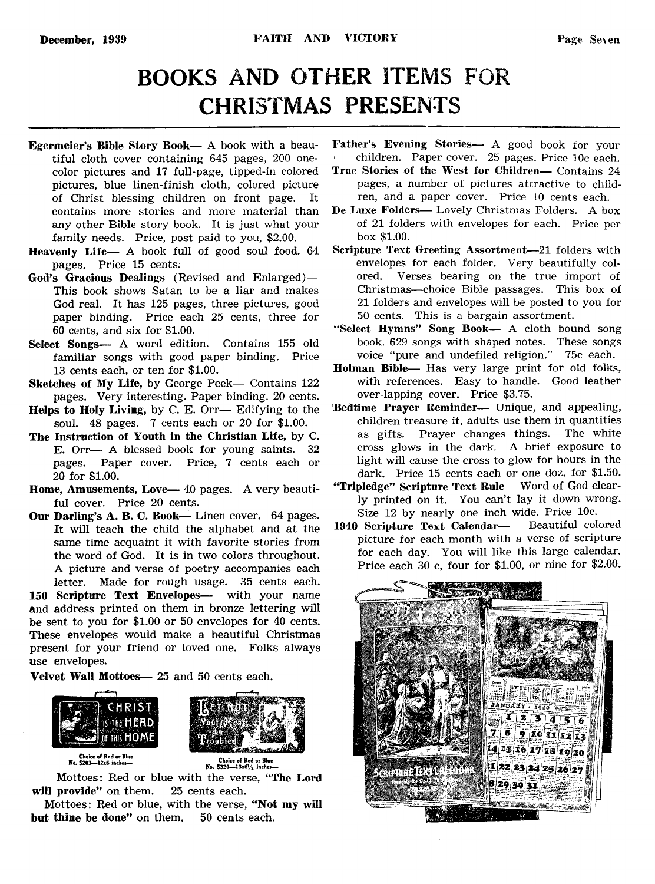# BOOKS AND OTHER ITEMS FOR CHRISTMAS PRESENTS

- Egermeier's Bible Story Book— A book with a beautiful cloth cover containing 645 pages, 200 onecolor pictures and 17 full-page, tipped-in colored pictures, blue linen-finish cloth, colored picture of Christ blessing children on front page. It contains more stories and more material than any other Bible story book. It is just what your family needs. Price, post paid to you, \$2.00.
- Heavenly Life— A book full of good soul food. 64 pages. Price 15 cents;
- God's Gracious Dealings (Revised and Enlarged)— This book shows Satan to be a liar and makes God real. It has 125 pages, three pictures, good paper binding. Price each 25 cents, three for 60 cents, and six for \$1.00.
- Select Songs— A word edition. Contains 155 old familiar songs with good paper binding. Price 13 cents each, or ten for \$1.00.
- Sketches of My Life, by George Peek— Contains 122 pages. Very interesting. Paper binding. 20 cents.
- Helps to Holy Living, by C. E. Orr— Edifying to the soul. 48 pages. 7 cents each or 20 for \$1.00.
- The Instruction of Youth in the Christian Life, by C. E. Orr— A blessed book for young saints. 32 pages. Paper cover. Price, 7 cents each or 20 for \$1.00.
- Home, Amusements, Love— 40 pages. A very beautiful cover. Price 20 cents.
- Our Darling's A. B. C. Book— Linen cover. 64 pages. It will teach the child the alphabet and at the same time acquaint it with favorite stories from the word of God. It is in two colors throughout. A picture and verse of poetry accompanies each letter. Made for rough usage. 35 cents each. 150 Scripture Text Envelopes— with your name and address printed on them in bronze lettering will be sent to you for \$1.00 or 50 envelopes for 40 cents. These envelopes would make a beautiful Christmas present for your friend or loved one. Folks always

Velvet Wall Mottoes— 25 and 50 cents each.



use envelopes.



Choice of Red or Blue No. 5201—12x6 iache\*—

Mottoes: Red or blue with the verse, ''The Lord will provide" on them. 25 cents each.

Mottoes: Red or blue, with the verse, " Not my will but thine be done" on them. 50 cents each.

Father's Evening Stories— A good book for your ' children. Paper cover. 25 pages. Price 10c each.

- True Stories of the West for Children— Contains 24 pages, a number of pictures attractive to children, and a paper cover. Price 10 cents each.
- De Luxe Folders— Lovely Christmas Folders. A box of 21 folders with envelopes for each. Price per box \$1.00.
- Scripture Text Greeting Assortment—21 folders with envelopes for each folder. Very beautifully colored. Verses bearing on the true import of Christmas— choice Bible passages. This box of 21 folders and envelopes will be posted to you for 50 cents. This is a bargain assortment.
- "Select Hymns" Song Book— A cloth bound song book. 629 songs with shaped notes. These songs voice "pure and undefiled religion." 75c each.
- Holman Bible— Has very large print for old folks, with references. Easy to handle. Good leather over-lapping cover. Price \$3.75.
- Bedtime Prayer Reminder— Unique, and appealing, children treasure it, adults use them in quantities as gifts. Prayer changes things. The white cross glows in the dark. A brief exposure to light will cause the cross to glow for hours in the dark. Price 15 cents each or one doz. for \$1.50.
- "Tripledge" Scripture Text Rule— Word of God clearly printed on it. You can't lay it down wrong. Size 12 by nearly one inch wide. Price 10c.<br>Scripture Text Calendar— Beautiful colored
- 1940 Scripture Text Calendarpicture for each month with a verse of scripture for each day. You will like this large calendar. Price each 30 c, four for \$1.00, or nine for \$2.00.



Choice of Red or Blue<br>No. 5320-13x61/2 inches-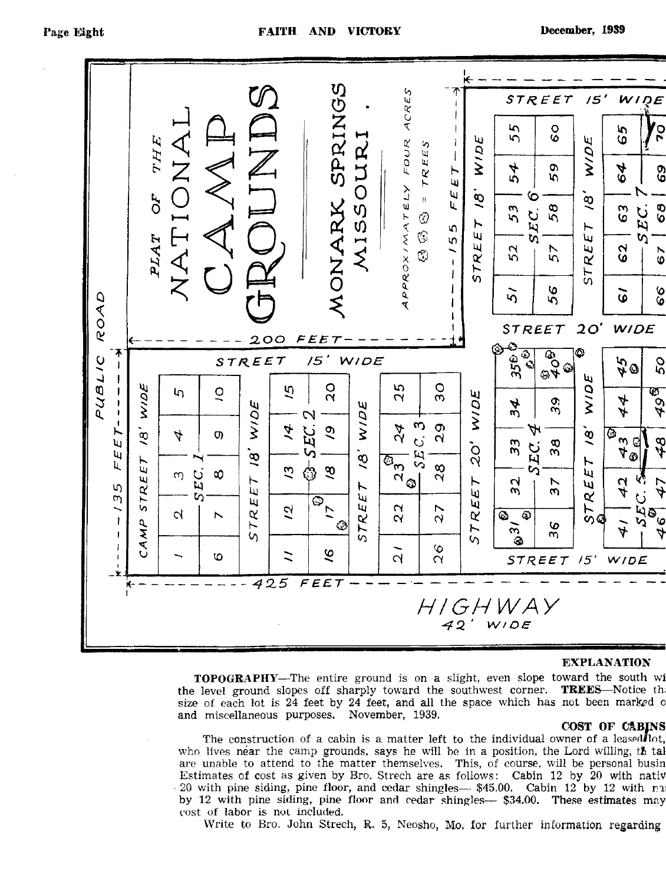

#### **EXPLANATION**

TOPOGRAPHY**— The entire ground is on a slight, even slope toward the south wi the level ground slopes off sharply toward the southwest corner.** TREES**— Notice thi size of each lot is 24 feet by 24 feet, and all the space which has not been marked** 0 **and miscellaneous purposes. November, 1939.**

#### COST OF CABINS

The construction of a cabin is a matter left to the individual owner of a leased lot, who lives near the camp grounds, says he will be in a position, the Lord willing,  $t\hbar$  tal **are unable to attend to the matter themselves. This, of course, will be personal busin Estimates of cost as given by Bro. Strech are as follows:** Cabin 12 by 20 with nativ **20 with pine siding, pine floor, and cedar shingles— \$45.00. Cabin 12 by 12 with ra by 12 with pine siding, pine floor and cedar shingles— \$34.00. These estimates may cost of labor is not included.**

Write to Bro. John Strech, R. 5, Neosho, Mo. for further information regarding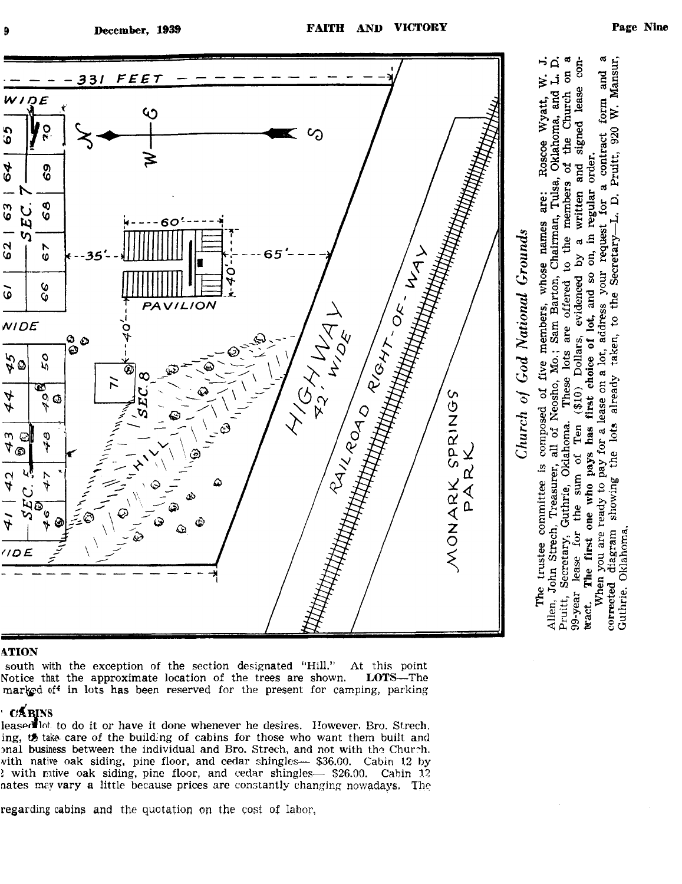

#### **ATION**

south with the exception of the section designated "Hill." At this point Notice that the approximate location of the trees are shown. **LOTS**—The Notice that the approximate location of the trees are shown. **marled off in lots has been reserved for the present for camping, parking**

#### **CABINS**

**leasotalof to do it or have it done whenever he desires. However, Bro. Strech, ing,** *tf>* **take care of the building of cabins for those who want them built and mal business between the individual and Bro. Strech, and not with the Church, vith native oak siding, pine floor, and cedar shingles— \$36.00. Cabin 12 by** *l* **with mtive oak siding, pine floor, and cedar shingles— \$26.00. Cabin 12 nates may vary a little because prices are constantly changing nowadays. The**

regarding cabins and the quotation on the cost of labor,

§ § S

 $\alpha$ con-

for a contract form and  $520$  $\mathbf{\tilde{g}}^{\mathrm{u}}$  :

 $(310)$  Dollars.

the lots already taken, to the Secretary-L. D.

£ § agra<br>aho

 $\frac{1}{2}$ 

.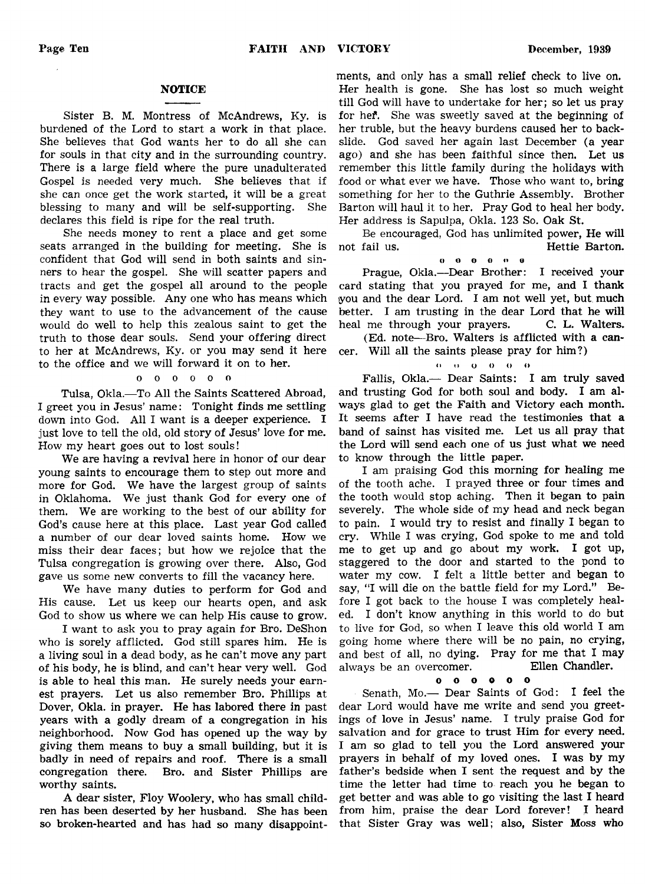#### **NOTICE**

Sister B. M. Montress of McAndrews, Ky. is burdened of the Lord to start a work in that place. She believes that God wants her to do all she can for souls in that city and in the surrounding country. There is a large field where the pure unadulterated Gospel is needed very much. She believes that if she can once get the work started, it will be a great blessing to many and will be self-supporting. She declares this field is ripe for the real truth.

She needs money to rent a place and get some seats arranged in the building for meeting. She is confident that God will send in both saints and sinners to hear the gospel. She will scatter papers and tracts and get the gospel all around to the people in every way possible. Any one who has means which they want to use to the advancement of the cause would do well to help this zealous saint to get the truth to those dear souls. Send your offering direct to her at McAndrews, Ky. or you may send it here to the office and we will forward it on to her.

#### oooooo

Tulsa, Okla.—To All the Saints Scattered Abroad, I greet you in Jesus' name: Tonight finds me settling down into God. All I want is a deeper experience. I just love to tell the old, old story of Jesus' love for me. How my heart goes out to lost souls!

We are having a revival here in honor of our dear young saints to encourage them to step out more and more for God. We have the largest group of saints in Oklahoma. We just thank God for every one of them. We are working to the best of our ability for God's cause here at this place. Last year God called a number of our dear loved saints home. How we miss their dear faces; but how we rejoice that the Tulsa congregation is growing over there. Also, God gave us some new converts to fill the vacancy here.

We have many duties to perform for God and His cause. Let us keep our hearts open, and ask God to show us where we can help His cause to grow.

I want to ask you to pray again for Bro. DeShon who is sorely afflicted. God still spares him. He is a living soul in a dead body, as he can't move any part of his body, he is blind, and can't hear very well. God is able to heal this man. He surely needs your earnest prayers. Let us also remember Bro. Phillips at Dover, Okla. in prayer. He has labored there in past years with a godly dream of a congregation in his neighborhood. Now God has opened up the way by giving them means to buy a small building, but it is badly in need of repairs and roof. There is a small congregation there. Bro. and Sister Phillips are worthy saints.

A dear sister, Floy Woolery, who has small children has been deserted by her husband. She has been so broken-hearted and has had so many disappoint-

ments, and only has a small relief check to live on. Her health is gone. She has lost so much weight till God will have to undertake for her; so let us pray for hef. She was sweetly saved at the beginning of her truble, but the heavy burdens caused her to backslide. God saved her again last December (a year ago) and she has been faithful since then. Let us remember this little family during the holidays with food or what ever we have. Those who want to, bring something for her to the Guthrie Assembly. Brother Barton will haul it to her. Pray God to heal her body. Her address is Sapulpa, Okla. 123 So. Oak St.

Be encouraged, God has unlimited power, He will not fail us. Hettie Barton.

OOOOOO

Prague, Okla.—Dear Brother: I received your card stating that you prayed for me, and I thank you and the dear Lord. I am not well yet, but much better. I am trusting in the dear Lord that he will heal me through your prayers. C. L. Walters.

(Ed. note— Bro. Walters is afflicted with a cancer. Will all the saints please pray for him?)

#### n n o o o <>

Fallis, Okla.— Dear Saints: I am truly saved and trusting God for both soul and body. I am always glad to get the Faith and Victory each month. It seems after I have read the testimonies that a band of sainst has visited me. Let us all pray that the Lord will send each one of us just what we need to know through the little paper.

I am praising God this morning for healing me of the tooth ache. I prayed three or four times and the tooth would stop aching. Then it began to pain severely. The whole side of my head and neck began to pain. I would try to resist and finally I began to cry. While I was crying, God spoke to me and told me to get up and go about my work. I got up, staggered to the door and started to the pond to water my cow. I felt a little better and began to say, "I will die on the battle field for my Lord." Before I got back to the house I was completely healed. I don't know anything in this world to do but to live for God, so when I leave this old world I am going home where there will be no pain, no crying, and best of all, no dying. Pray for me that I may always be an overcomer. Ellen Chandler,

#### oooooo

Senath, Mo.— Dear Saints of God: I feel the dear Lord would have me write and send you greetings of love in Jesus' name. I truly praise God for salvation and for grace to trust Him for every need. I am so glad to tell you the Lord answered your prayers in behalf of my loved ones. I was by my father's bedside when I sent the request and by the time the letter had time to reach you he began to get better and was able to go visiting the last I heard from him, praise the dear Lord forever! I heard that Sister Gray was well; also, Sister Moss who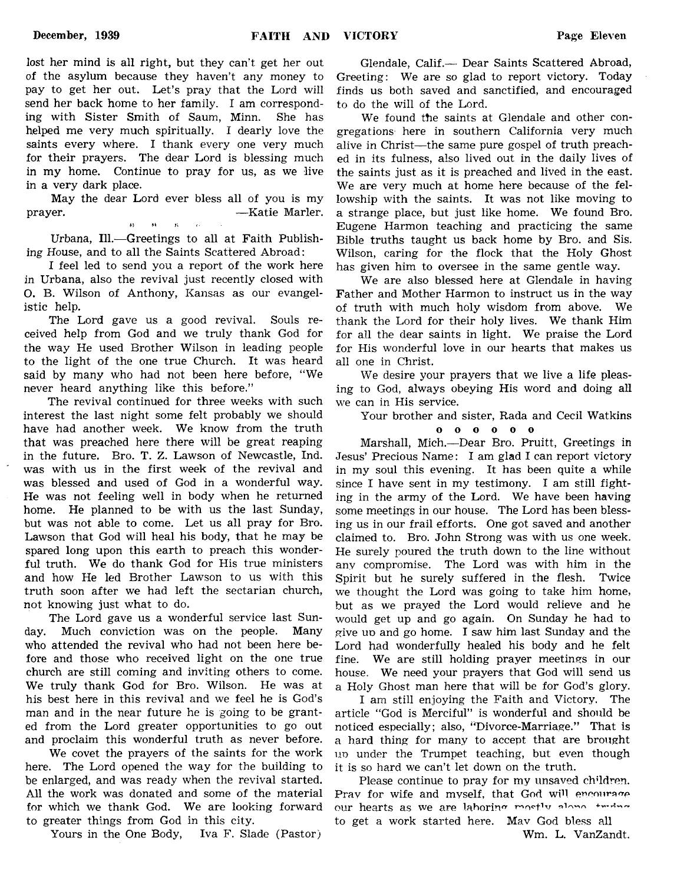lost her mind is all right, but they can't get her out of the asylum because they haven't any money to pay to get her out. Let's pray that the Lord will send her back home to her family. I am corresponding with Sister Smith of Saum, Minn. She has helped me very much spiritually. I dearly love the saints every where. I thank every one very much for their prayers. The dear Lord is blessing much in my home. Continue to pray for us, as we live in a very dark place.

May the dear Lord ever bless all of you is my prayer. **Example 2018** — Katie Marler. *n* r«

Urbana, 111.— Greetings to all at Faith Publishing House, and to all the Saints Scattered Abroad:

I feel led to send you a report of the work here in Urbana, also the revival just recently closed with O. B. Wilson of Anthony, Kansas as our evangelistic help.

The Lord gave us a good revival. Souls received help from God and we truly thank God for the way He used Brother Wilson in leading people to the light of the one true Church. It was heard said by many who had not been here before, "We never heard anything like this before."

The revival continued for three weeks with such interest the last night some felt probably we should have had another week. We know from the truth that was preached here there will be great reaping in the future. Bro. T. Z. Lawson of Newcastle, Ind. was with us in the first week of the revival and was blessed and used of God in a wonderful way. He was not feeling well in body when he returned home. He planned to be with us the last Sunday, but was not able to come. Let us all pray for Bro. Lawson that God will heal his body, that he may be spared long upon this earth to preach this wonderful truth. We do thank God for His true ministers and how He led Brother Lawson to us with this truth soon after we had left the sectarian church, not knowing just what to do.

The Lord gave us a wonderful service last Sunday. Much conviction was on the people. Many who attended the revival who had not been here before and those who received light on the one true church are still coming and inviting others to come. We truly thank God for Bro. Wilson. He was at his best here in this revival and we feel he is God's man and in the near future he is going to be granted from the Lord greater opportunities to go out and proclaim this wonderful truth as never before.

We covet the prayers of the saints for the work here. The Lord opened the way for the building to be enlarged, and was ready when the revival started. All the work was donated and some of the material for which we thank God. We are looking forward to greater things from God in this city.

Yours in the One Body, Iva F. Slade (Pastor)

Glendale, Calif.— Dear Saints Scattered Abroad, Greeting: We are so glad to report victory. Today finds us both saved and sanctified, and encouraged to do the will of the Lord.

We found the saints at Glendale and other congregations here in southern California very much alive in Christ—the same pure gospel of truth preached in its fulness, also lived out in the daily lives of the saints just as it is preached and lived in the east. We are very much at home here because of the fellowship with the saints. It was not like moving to a strange place, but just like home. We found Bro. Eugene Harmon teaching and practicing the same Bible truths taught us back home by Bro. and Sis. Wilson, caring for the flock that the Holy Ghost has given him to oversee in the same gentle way.

We are also blessed here at Glendale in having Father and Mother Harmon to instruct us in the way of truth with much holy wisdom from above. We thank the Lord for their holy lives. We thank Him for all the dear saints in light. We praise the Lord for His wonderful love in our hearts that makes us all one in Christ.

We desire your prayers that we live a life pleasing to God, always obeying His word and doing all we can in His service.

Your brother and sister, Rada and Cecil Watkins

o o o o o o

Marshall, Mich.—Dear Bro. Pruitt, Greetings in Jesus' Precious Name: I am glad I can report victory in my soul this evening. It has been quite a while since I have sent in my testimony. I am still fighting in the army of the Lord. We have been having some meetings in our house. The Lord has been blessing us in our frail efforts. One got saved and another claimed to. Bro. John Strong was with us one week. He surely poured the truth down to the line without any compromise. The Lord was with him in the Spirit but he surely suffered in the flesh. Twice we thought the Lord was going to take him home, but as we prayed the Lord would relieve and he would get up and go again. On Sunday he had to give uo and go home. I saw him last Sunday and the Lord had wonderfully healed his body and he felt fine. We are still holding prayer meetings in our house. We need your prayers that God will send us a Holy Ghost man here that will be for God's glory.

I am still enjoying the Faith and Victory. The article "God is Merciful" is wonderful and should be noticed especially; also, "Divorce-Marriage." That is a hard thing for many to accept that are brought uo under the Trumpet teaching, but even though it is so hard we can't let down on the truth.

Please continue to pray for my unsaved children. Pray for wife and myself, that God will encourage our hearts as we are laboring mostly along triang to get a work started here. May God bless all Wm. L. VanZandt.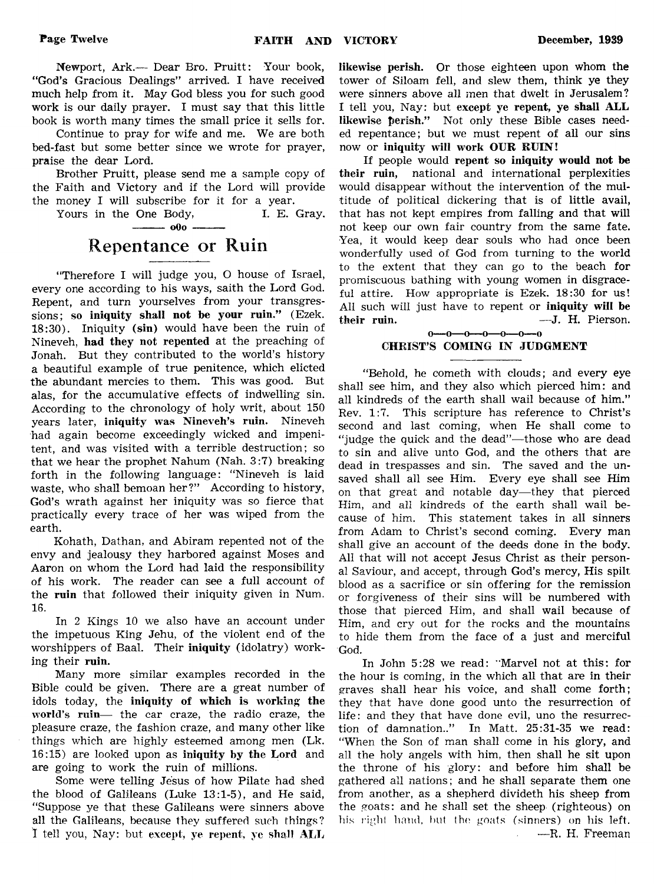Newport, Ark.— Dear Bro. Pruitt: Your book, "God's Gracious Dealings" arrived. I have received much help from it. May God bless you for such good work is our daily prayer. I must say that this little book is worth many times the small price it sells for.

Continue to pray for wife and me. We are both bed-fast but some better since we wrote for prayer, praise the dear Lord.

Brother Pruitt, please send me a sample copy of the Faith and Victory and if the Lord will provide the money I will subscribe for it for a year.

Yours in the One Body, I. E. Gray.  $-$ 

## Repentance or Ruin

"Therefore I will judge you, O house of Israel, every one according to his ways, saith the Lord God. Repent, and turn yourselves from your transgressions; so iniquity shall not be your ruin." (Ezek. 18:30). Iniquity (sin) would have been the ruin of Nineveh, had they not repented at the preaching of Jonah. But they contributed to the world's history a beautiful example of true penitence, which elicted the abundant mercies to them. This was good. But alas, for the accumulative effects of indwelling sin. According to the chronology of holy writ, about 150 years later, iniquity was Nineveh's ruin. Nineveh had again become exceedingly wicked and impenitent, and was visited with a terrible destruction; so that we hear the prophet Nahum (Nah. 3:7) breaking forth in the following language: "Nineveh is laid waste, who shall bemoan her?" According to history, God's wrath against her iniquity was so fierce that practically every trace of her was wiped from the earth.

Kohath, Dathan, and Abiram repented not of the envy and jealousy they harbored against Moses and Aaron on whom the Lord had laid the responsibility of his work. The reader can see a full account of the ruin that followed their iniquity given in Num. 16.

In 2 Kings 10 we also have an account under the impetuous King Jehu, of the violent end of the worshippers of Baal. Their iniquity (idolatry) working their ruin.

Many more similar examples recorded in the Bible could be given. There are a great number of idols today, the iniquity of which is working the world's ruin— the car craze, the radio craze, the pleasure craze, the fashion craze, and many other like things which are highly esteemed among men (Lk. 16:15) are looked upon as iniquity by the Lord and are going to work the ruin of millions.

Some were telling Jesus of how Pilate had shed the blood of Galileans (Luke 13:1-5), and He said, "Suppose ye that these Galileans were sinners above all the Galileans, because they suffered such things? I tell you, Nay: but except, ye repent, ye shall ALL likewise perish. Or those eighteen upon whom the tower of Siloam fell, and slew them, think ye they were sinners above all men that dwelt in Jerusalem? I tell you, Nay: but except ye repent, ye shall ALL likewise perish." Not only these Bible cases needed repentance; but we must repent of all our sins now or iniquity will work OUR RUIN!

If people would repent so iniquity would not be their ruin, national and international perplexities would disappear without the intervention of the multitude of political dickering that is of little avail, that has not kept empires from falling and that will not keep our own fair country from the same fate. Yea, it would keep dear souls who had once been wonderfully used of God from turning to the world to the extent that they can go to the beach for promiscuous bathing with young women in disgraceful attire. How appropriate is Ezek. 18:30 for us! All such will just have to repent or iniquity will be their ruin. ——J. H. Pierson.

#### $0-0-0-0-0-0-0$ CHRIST'S COMING IN JUDGMENT

"Behold, he cometh with clouds; and every eye shall see him, and they also which pierced him: and all kindreds of the earth shall wail because of him." Rev. 1:7. This scripture has reference to Christ's second and last coming, when He shall come to "judge the quick and the dead"—those who are dead to sin and alive unto God, and the others that are dead in trespasses and sin. The saved and the unsaved shall all see Him. Every eye shall see Him on that great and notable day—they that pierced Him, and all kindreds of the earth shall wail because of him. This statement takes in all sinners from Adam to Christ's second coming. Every man shall give an account of the deeds done in the body. All that will not accept Jesus Christ as their personal Saviour, and accept, through God's mercy, His spilt blood as a sacrifice or sin offering for the remission or forgiveness of their sins will be numbered with those that pierced Him, and shall wail because of Him, and cry out for the rocks and the mountains to hide them from the face of a just and merciful God.

In John 5:28 we read: "Marvel not at this: for the hour is coming, in the which all that are in their graves shall hear his voice, and shall come forth; they that have done good unto the resurrection of life: and they that have done evil, uno the resurrection of damnation.." In Matt. 25:31-35 we read: "When the Son of man shall come in his glory, and all the holy angels with him, then shall he sit upon the throne of his glory: and before him shall be gathered all nations; and he shall separate them one from another, as a shepherd divideth his sheep from the goats: and he shall set the sheep (righteous) on his right hand, but the goats (sinners) on his left. ■—R. H. Freeman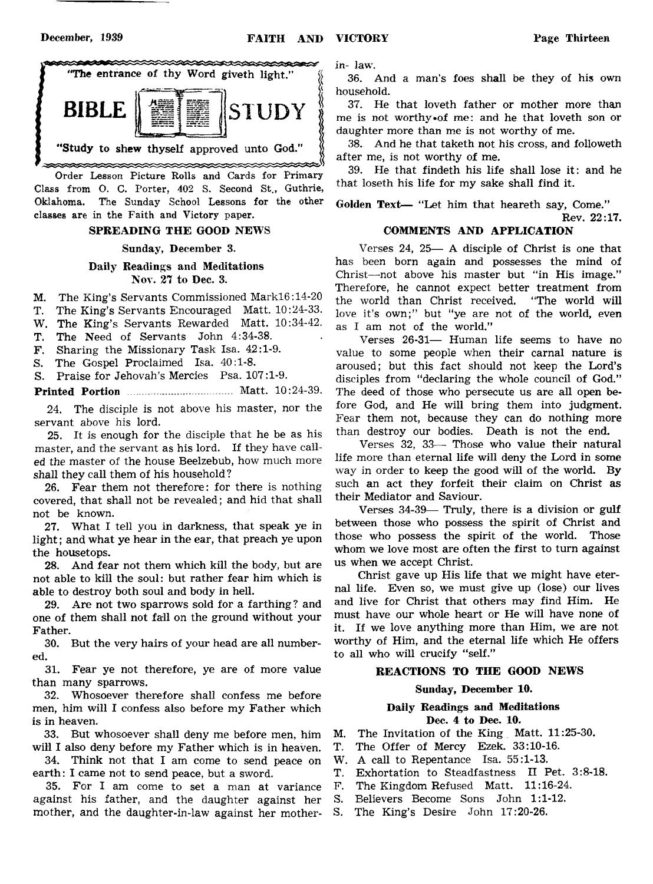

Order Lesson Picture Rolls and Cards for Primary Class from O. C. Porter, 402 S. Second St., Guthrie, Oklahoma. The Sunday School Lessons for the other classes are in the Faith and Victory paper.

#### SPREADING THE GOOD NEWS

#### Sunday, December 3.

#### Daily Readings and Meditations Nov. 27 to Dec. 3.

- M. The King's Servants Commissioned Markl6:14-20
- T. The King's Servants Encouraged Matt. 10:24-33.
- W. The King's Servants Rewarded Matt. 10:34-42.
- T. The Need of Servants John 4:34-38.
- F. Sharing the Missionary Task Isa. 42:1-9.
- S. The Gospel Proclaimed Isa. 40:1-8.
- S. Praise for Jehovah's Mercies Psa. 107:1-9.

Printed Portion ....................... ........ Matt. 10:24-39.

24. The disciple is not above his master, nor the servant above his lord.

25. It is enough for the disciple that he be as his master, and the servant as his lord. If they have called the master of the house Beelzebub, how much more shall they call them of his household ?

26. Fear them not therefore: for there is nothing covered, that shall not be revealed; and hid that shall not be known.

27. What I tell you in darkness, that speak ye in light; and what ye hear in the ear, that preach ye upon the housetops.

28. And fear not them which kill the body, but are not able to kill the soul: but rather fear him which is able to destroy both soul and body in hell.

29. Are not two sparrows sold for a farthing? and one of them shall not fall on the ground without your Father.

30. But the very hairs of your head are all numbered.

31. Fear ye not therefore, ye are of more value than many sparrows.

32. Whosoever therefore shall confess me before men, him will I confess also before my Father which is in heaven.

33. But whosoever shall deny me before men, him will I also deny before my Father which is in heaven.

34. Think not that I am come to send peace on earth: I came not to send peace, but a sword.

35. For I am come to set a man at variance against his father, and the daughter against her mother, and the daughter-in-law against her motherin- law.

36. And a man's foes shall be they of his own household.

37. He that loveth father or mother more than me is not worthy »of me: and he that loveth son or daughter more than me is not worthy of me.

38. And he that taketh not his cross, and followeth after me, is not worthy of me.

39. He that findeth his life shall lose it: and he that loseth his life for my sake shall find it.

Golden Text— "Let him that heareth say, Come." Rev. 22:17.

#### COMMENTS AND APPLICATION

Verses 24, 25— A disciple of Christ is one that has been born again and possesses the mind of Christ—not above his master but "in His image." Therefore, he cannot expect better treatment from the world than Christ received. "The world will love it's own;" but "ye are not of the world, even as I am not of the world."

Verses 26-31— Human life seems to have no value to some people when their carnal nature is aroused; but this fact should not keep the Lord's disciples from "declaring the whole council of God." The deed of those who persecute us are all open before God, and He will bring them into judgment. Fear them not, because they can do nothing more than destroy our bodies. Death is not the end.

Verses 32, 33— Those who value their natural life more than eternal life will deny the Lord in some way in order to keep the good will of the world. By such an act they forfeit their claim on Christ as their Mediator and Saviour.

Verses 34-39— Truly, there is a division or gulf between those who possess the spirit of Christ and those who possess the spirit of the world. Those whom we love most are often the first to turn against us when we accept Christ.

Christ gave up His life that we might have eternal life. Even so, we must give up (lose) our lives and live for Christ that others may find Him. He must have our whole heart or He will have none of it. If we love anything more than Him, we are not worthy of Him, and the eternal life which He offers to all who will crucify "self."

#### REACTIONS TO THE GOOD NEWS

#### Sunday, December 10.

#### Daily Readings and Meditations Dec. 4 to Dec. 10.

M. The Invitation of the King Matt. 11:25-30.

- T. The Offer of Mercy Ezek. 33:10-16.
- W. A call to Repentance Isa. 55:1-13.
- T. Exhortation to Steadfastness II Pet. 3:8-18.
- F. The Kingdom Refused Matt. 11:16-24.
- S. Believers Become Sons John 1:1-12.
- S. The King's Desire John 17:20-26.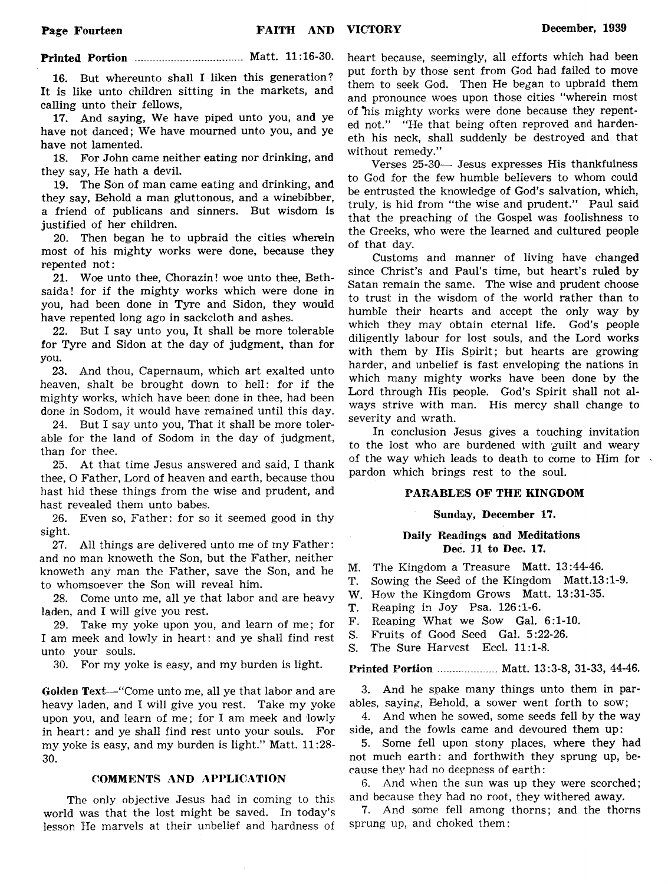#### **Printed Portion** ................................... Matt. 11:16-30.

16. But whereunto shall I liken this generation? It is like unto children sitting in the markets, and calling unto their fellows,

17. And saying, We have piped unto you, and ye have not danced; We have mourned unto you, and ye have not lamented.

18. For John came neither eating nor drinking, and they say, He hath a devil.

19. The Son of man came eating and drinking, and they say, Behold a man gluttonous, and a winebibber, a friend of publicans and sinners. But wisdom is justified of her children.

20. Then began he to upbraid the cities wherein most of his mighty works were done, because they repented not:

21. Woe unto thee, Chorazin! woe unto thee, Bethsaidal for if the mighty works which were done in you, had been done in Tyre and Sidon, they would have repented long ago in sackcloth and ashes.

22. But I say unto you, It shall be more tolerable for Tyre and Sidon at the day of judgment, than for you.

23. And thou, Capernaum, which art exalted unto heaven, shalt be brought down to hell: for if the mighty works, which have been done in thee, had been done in Sodom, it would have remained until this day.

24. But I say unto you, That it shall be more tolerable for the land of Sodom in the day of judgment, than for thee.

25. At that time Jesus answered and said, I thank thee, O Father, Lord of heaven and earth, because thou hast hid these things from the wise and prudent, and hast revealed them unto babes.

26. Even so, Father: for so it seemed good in thy sight.

27. All things are delivered unto me of my Father: and no man knoweth the Son, but the Father, neither knoweth any man the Father, save the Son, and he to whomsoever the Son will reveal him.

28. Come unto me, all ye that labor and are heavy laden, and I will give you rest.

29. Take my yoke upon you, and learn of me; for I am meek and lowly in heart: and ye shall find rest unto your souls.

30. For my yoke is easy, and my burden is light.

Golden Text— "Come unto me, all ye that labor and are heavy laden, and I will give you rest. Take my yoke upon you, and learn of me; for I am meek and lowly in heart: and ye shall find rest unto your souls. For my yoke is easy, and my burden is light." Matt. 11:28- 30.

#### COMMENTS AND APPLICATION

The only objective Jesus had in coming to this world was that the lost might be saved. In today's lesson He marvels at their unbelief and hardness of

heart because, seemingly, all efforts which had been put forth by those sent from God had failed to move them to seek God. Then He began to upbraid them and pronounce woes upon those cities "wherein most of his mighty works were done because they repented not." "He that being often reproved and hardeneth his neck, shall suddenly be destroyed and that without remedy."

Verses 25-30— Jesus expresses His thankfulness to God for the few humble believers to whom could be entrusted the knowledge of God's salvation, which, truly, is hid from "the wise and prudent." Paul said that the preaching of the Gospel was foolishness to the Greeks, who were the learned and cultured people of that day.

Customs and manner of living have changed since Christ's and Paul's time, but heart's ruled by Satan remain the same. The wise and prudent choose to trust in the wisdom of the world rather than to humble their hearts and accept the only way by which they may obtain eternal life. God's people diligently labour for lost souls, and the Lord works with them by His Spirit; but hearts are growing harder, and unbelief is fast enveloping the nations in which many mighty works have been done by the Lord through His people. God's Spirit shall not always strive with man. His mercy shall change to severity and wrath.

In conclusion Jesus gives a touching invitation to the lost who are burdened with guilt and weary of the way which leads to death to come to Him for pardon which brings rest to the soul.

#### PARABLES OF THE KINGDOM

#### Sunday, December 17.

#### Daily Readings and Meditations Dec. 11 to Dec. 17.

M. The Kingdom a Treasure Matt. 13:44-46.

- T. Sowing the Seed of the Kingdom Matt.l3:l-9.
- W. How the Kingdom Grows Matt. 13:31-35.
- T. Reaping in Joy Psa. 126:1-6.
- F. Reaping What we Sow Gal. 6:1-10.
- S. Fruits of Good Seed Gal. 5:22-26.
- S. The Sure Harvest Eccl. 11:1-8.

#### Printed Portion...................Matt. 13:3-8, 31-33, 44-46.

3. And he spake many things unto them in parables, saying, Behold, a sower went forth to sow;

4. And when he sowed, some seeds fell by the way side, and the fowls came and devoured them up:

5. Some fell upon stony places, where they had not much earth: and forthwith they sprung up, because they had no deepness of earth:

6. And when the sun was up they were scorched; and because they had no root, they withered away.

7. And some fell among thorns; and the thorns sprung up, and choked them: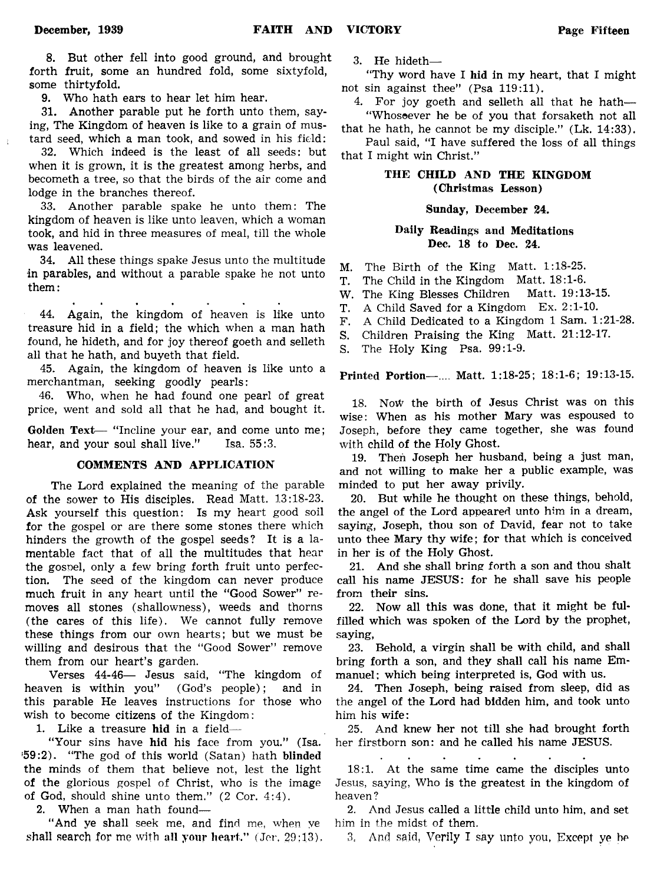8. But other fell into good ground, and brought forth fruit, some an hundred fold, some sixtyfold, some thirtyfold.

9. Who hath ears to hear let him hear.

31. Another parable put he forth unto them, saying, The Kingdom of heaven is like to a grain of mustard seed, which a man took, and sowed in his field:

32. Which indeed is the least of all seeds: but when it is grown, it is the greatest among herbs, and becometh a tree, so that the birds of the air come and lodge in the branches thereof.

33. Another parable spake he unto them: The kingdom of heaven is like unto leaven, which a woman took, and hid in three measures of meal, till the whole was leavened.

34. All these things spake Jesus unto the multitude in parables, and without a parable spake he not unto them:

44. Again, the kingdom of heaven is like unto treasure hid in a field; the which when a man hath found, he hideth, and for joy thereof goeth and selleth all that he hath, and buyeth that field.

45. Again, the kingdom of heaven is like unto a merchantman, seeking goodly pearls:

46. Who, when he had found one pearl of great price, went and sold all that he had, and bought it.

Golden Text— "Incline your ear, and come unto me; hear, and your soul shall live." Isa. 55:3.

#### COMMENTS AND APPLICATION

The Lord explained the meaning of the parable of the sower to His disciples. Read Matt. 13:18-23. Ask yourself this question: Is my heart good soil for the gospel or are there some stones there which hinders the growth of the gospel seeds? It is a lamentable fact that of all the multitudes that hear the gosnel, only a few bring forth fruit unto perfection. The seed of the kingdom can never produce much fruit in any heart until the "Good Sower" removes all stones (shallowness), weeds and thorns (the cares of this life). We cannot fully remove these things from our own hearts; but we must be willing and desirous that the "Good Sower" remove them from our heart's garden.

Verses 44-46— Jesus said, "The kingdom of heaven is within you" (God's people); and in this parable He leaves instructions for those who wish to become citizens of the Kingdom:

1. Like a treasure hid in a field—

"Your sins have hid his face from you." (Isa. '59:2). "The god of this world (Satan) hath blinded the minds of them that believe not, lest the light of the glorious gospel of Christ, who is the image of God, should shine unto them." (2 Cor. 4:4).

2. When a man hath found—

"And ye shall seek me, and find me, when ye shall search for me with all your heart." (Jer, 29:13). 3. He hideth—

"Thy word have I hid in my heart, that I might not sin against thee" (Psa 119:11).

4. For joy goeth and selleth all that he hath— "Whosoever he be of you that forsaketh not all

that he hath, he cannot be my disciple." (Lk. 14:33). Paul said, "I have suffered the loss of all things

that I might win Christ."

#### THE CHILD AND THE KINGDOM (Christmas Lesson)

#### Sunday, December 24.

#### Daily Readings and Meditations Dec. 18 to Dec. 24.

M. The Birth of the King Matt. 1:18-25.

- T. The Child in the Kingdom Matt. 18:1-6.
- W. The King Blesses Children Matt. 19:13-15.
- T. A Child Saved for a Kingdom Ex. 2:1-10.
- F. A Child Dedicated to a Kingdom 1 Sam. 1:21-28.
- S. Children Praising the King Matt. 21:12-17.
- S. The Holy King Psa. 99:1-9.

Printed Portion—.... Matt. 1:18-25; 18:1-6; 19:13-15.

18. NoW the birth of Jesus Christ was on this wise: When as his mother Mary was espoused to Joseph, before they came together, she was found with child of the Holy Ghost.

19. Then Joseph her husband, being a just man, and not willing to make her a public example, was minded to put her away privily.

20. But while he thought on these things, behold, the angel of the Lord appeared unto him in a dream, saying, Joseph, thou son of David, fear not to take unto thee Mary thy wife; for that which is conceived in her is of the Holy Ghost.

21. And she shall bring forth a son and thou shalt call his name JESUS: for he shall save his people from their sins.

22. Now all this was done, that it might be fulfilled which was spoken of the Lord by the prophet, saying,

23. Behold, a virgin shall be with child, and shall bring forth a son, and they shall call his name Emmanuel: which being interpreted is, God with us.

24. Then Joseph, being raised from sleep, did as the angel of the Lord had bidden him, and took unto him his wife:

25. And knew her not till she had brought forth her firstborn son: and he called his name JESUS.

 $\mathbf{r}$ 

18:1. At the same time came the disciples unto Jesus, saying, Who is the greatest in the kingdom of heaven ?

2. And Jesus called a little child unto him, and set him in the midst of them.

3, And said. Verily I say unto you, Except ye be